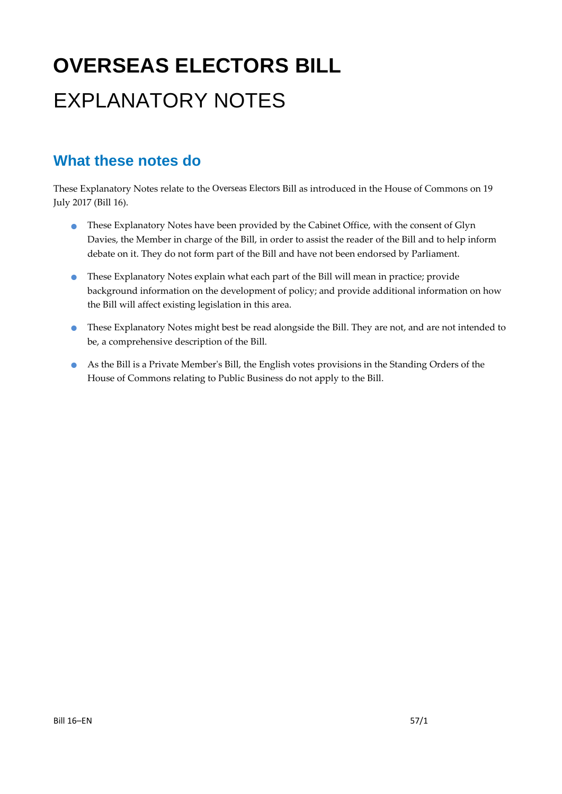# **OVERSEAS ELECTORS BILL** EXPLANATORY NOTES

### **What these notes do**

- These Explanatory Notes have been provided by the Cabinet Office, with the consent of Glyn Davies, the Member in charge of the Bill, in order to assist the reader of the Bill and to help inform debate on it. They do not form part of the Bill and have not been endorsed by Parliament.
- These Explanatory Notes explain what each part of the Bill will mean in practice; provide background information on the development of policy; and provide additional information on how the Bill will affect existing legislation in this area.
- These Explanatory Notes might best be read alongside the Bill. They are not, and are not intended to be, a comprehensive description of the Bill.
- As the Bill is a Private Member's Bill, the English votes provisions in the Standing Orders of the House of Commons relating to Public Business do not apply to the Bill.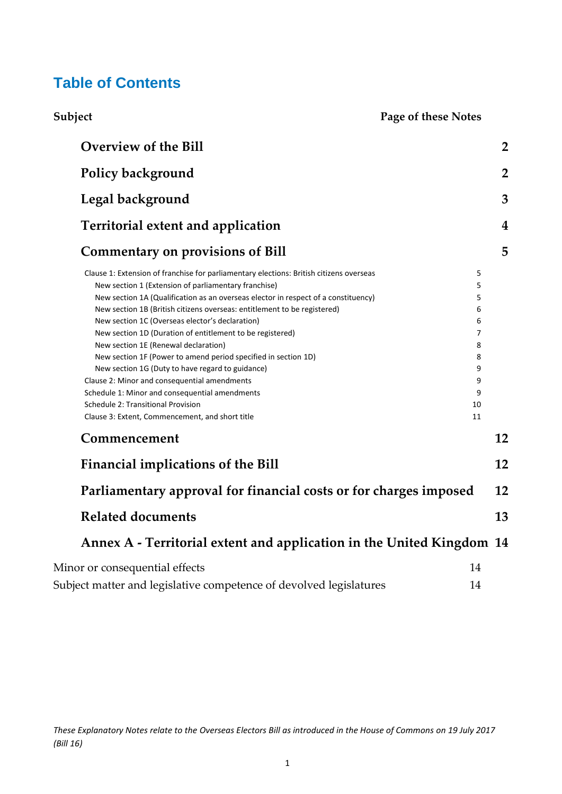### **Table of Contents**

| Subject |  |
|---------|--|

**Subject Page of these Notes** 

| <b>Overview of the Bill</b>                                                                                                                                                                                                                                                                                                                                                                                                                                                                                                                                                                                                                                                                                                                                                                                                                                                | $\overline{2}$ |
|----------------------------------------------------------------------------------------------------------------------------------------------------------------------------------------------------------------------------------------------------------------------------------------------------------------------------------------------------------------------------------------------------------------------------------------------------------------------------------------------------------------------------------------------------------------------------------------------------------------------------------------------------------------------------------------------------------------------------------------------------------------------------------------------------------------------------------------------------------------------------|----------------|
| Policy background                                                                                                                                                                                                                                                                                                                                                                                                                                                                                                                                                                                                                                                                                                                                                                                                                                                          | $\overline{2}$ |
| Legal background                                                                                                                                                                                                                                                                                                                                                                                                                                                                                                                                                                                                                                                                                                                                                                                                                                                           | 3              |
| <b>Territorial extent and application</b>                                                                                                                                                                                                                                                                                                                                                                                                                                                                                                                                                                                                                                                                                                                                                                                                                                  | 4              |
| <b>Commentary on provisions of Bill</b>                                                                                                                                                                                                                                                                                                                                                                                                                                                                                                                                                                                                                                                                                                                                                                                                                                    | 5              |
| Clause 1: Extension of franchise for parliamentary elections: British citizens overseas<br>5<br>5<br>New section 1 (Extension of parliamentary franchise)<br>5<br>New section 1A (Qualification as an overseas elector in respect of a constituency)<br>6<br>New section 1B (British citizens overseas: entitlement to be registered)<br>New section 1C (Overseas elector's declaration)<br>6<br>$\overline{7}$<br>New section 1D (Duration of entitlement to be registered)<br>8<br>New section 1E (Renewal declaration)<br>New section 1F (Power to amend period specified in section 1D)<br>8<br>New section 1G (Duty to have regard to guidance)<br>9<br>Clause 2: Minor and consequential amendments<br>9<br>Schedule 1: Minor and consequential amendments<br>9<br>Schedule 2: Transitional Provision<br>10<br>Clause 3: Extent, Commencement, and short title<br>11 |                |
| Commencement                                                                                                                                                                                                                                                                                                                                                                                                                                                                                                                                                                                                                                                                                                                                                                                                                                                               | 12             |
| <b>Financial implications of the Bill</b>                                                                                                                                                                                                                                                                                                                                                                                                                                                                                                                                                                                                                                                                                                                                                                                                                                  | 12             |
| Parliamentary approval for financial costs or for charges imposed                                                                                                                                                                                                                                                                                                                                                                                                                                                                                                                                                                                                                                                                                                                                                                                                          | 12             |
| <b>Related documents</b>                                                                                                                                                                                                                                                                                                                                                                                                                                                                                                                                                                                                                                                                                                                                                                                                                                                   | 13             |
| Annex A - Territorial extent and application in the United Kingdom 14                                                                                                                                                                                                                                                                                                                                                                                                                                                                                                                                                                                                                                                                                                                                                                                                      |                |
| Minor or consequential effects<br>14<br>Subject matter and legislative competence of devolved legislatures<br>14                                                                                                                                                                                                                                                                                                                                                                                                                                                                                                                                                                                                                                                                                                                                                           |                |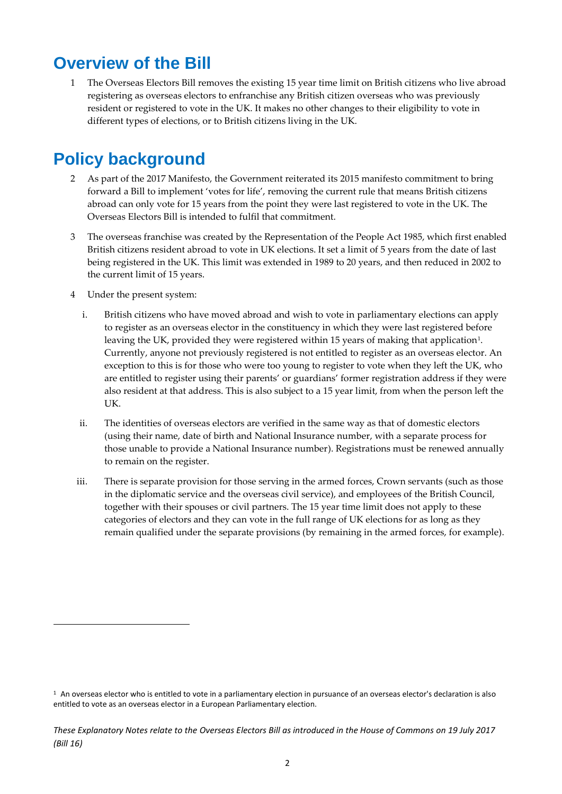### <span id="page-2-0"></span>**Overview of the Bill**

1 The Overseas Electors Bill removes the existing 15 year time limit on British citizens who live abroad registering as overseas electors to enfranchise any British citizen overseas who was previously resident or registered to vote in the UK. It makes no other changes to their eligibility to vote in different types of elections, or to British citizens living in the UK.

## <span id="page-2-1"></span>**Policy background**

- 2 As part of the 2017 Manifesto, the Government reiterated its 2015 manifesto commitment to bring forward a Bill to implement 'votes for life', removing the current rule that means British citizens abroad can only vote for 15 years from the point they were last registered to vote in the UK. The Overseas Electors Bill is intended to fulfil that commitment.
- 3 The overseas franchise was created by the Representation of the People Act 1985, which first enabled British citizens resident abroad to vote in UK elections. It set a limit of 5 years from the date of last being registered in the UK. This limit was extended in 1989 to 20 years, and then reduced in 2002 to the current limit of 15 years.
- 4 Under the present system:

1

- i. British citizens who have moved abroad and wish to vote in parliamentary elections can apply to register as an overseas elector in the constituency in which they were last registered before leaving the UK, provided they were registered within 15 years of making that application<sup>1</sup>. Currently, anyone not previously registered is not entitled to register as an overseas elector. An exception to this is for those who were too young to register to vote when they left the UK, who are entitled to register using their parents' or guardians' former registration address if they were also resident at that address. This is also subject to a 15 year limit, from when the person left the UK.
- ii. The identities of overseas electors are verified in the same way as that of domestic electors (using their name, date of birth and National Insurance number, with a separate process for those unable to provide a National Insurance number). Registrations must be renewed annually to remain on the register.
- iii. There is separate provision for those serving in the armed forces, Crown servants (such as those in the diplomatic service and the overseas civil service), and employees of the British Council, together with their spouses or civil partners. The 15 year time limit does not apply to these categories of electors and they can vote in the full range of UK elections for as long as they remain qualified under the separate provisions (by remaining in the armed forces, for example).

 $1$  An overseas elector who is entitled to vote in a parliamentary election in pursuance of an overseas elector's declaration is also entitled to vote as an overseas elector in a European Parliamentary election.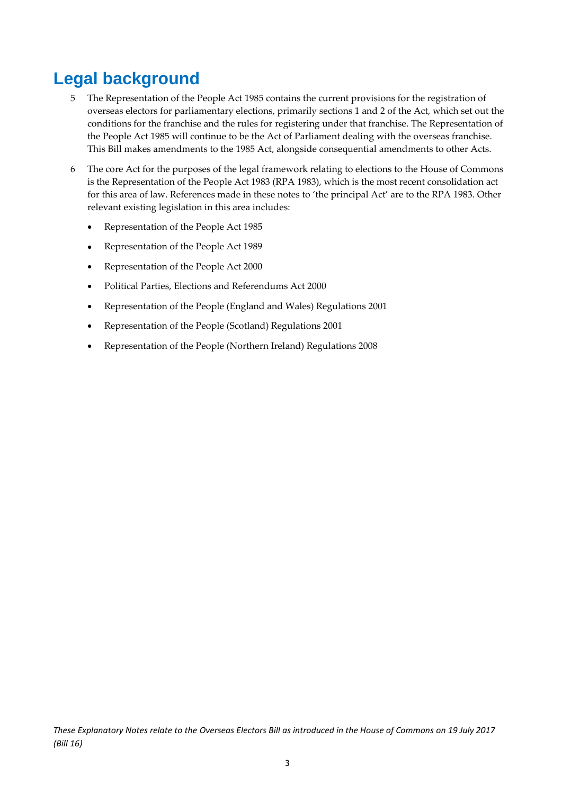## <span id="page-3-0"></span>**Legal background**

- 5 The Representation of the People Act 1985 contains the current provisions for the registration of overseas electors for parliamentary elections, primarily sections 1 and 2 of the Act, which set out the conditions for the franchise and the rules for registering under that franchise. The Representation of the People Act 1985 will continue to be the Act of Parliament dealing with the overseas franchise. This Bill makes amendments to the 1985 Act, alongside consequential amendments to other Acts.
- 6 The core Act for the purposes of the legal framework relating to elections to the House of Commons is the Representation of the People Act 1983 (RPA 1983), which is the most recent consolidation act for this area of law. References made in these notes to 'the principal Act' are to the RPA 1983. Other relevant existing legislation in this area includes:
	- Representation of the People Act 1985
	- Representation of the People Act 1989
	- Representation of the People Act 2000
	- Political Parties, Elections and Referendums Act 2000
	- Representation of the People (England and Wales) Regulations 2001
	- Representation of the People (Scotland) Regulations 2001
	- Representation of the People (Northern Ireland) Regulations 2008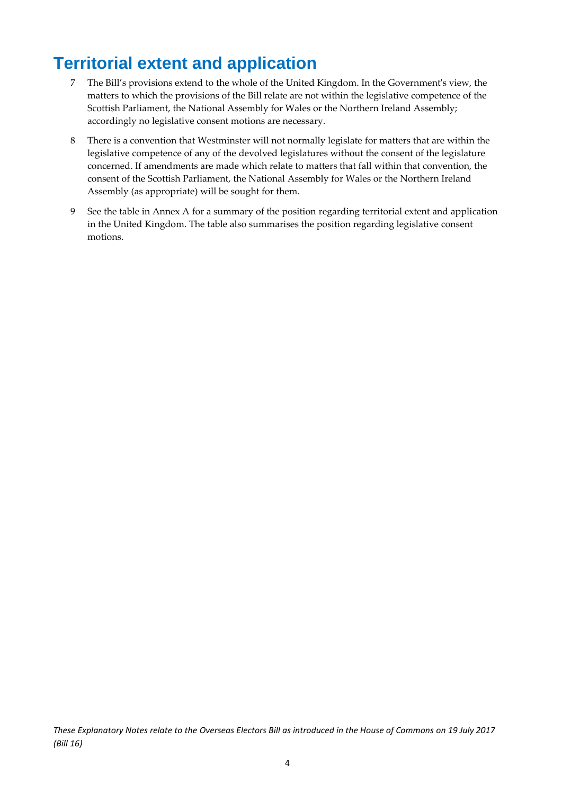## <span id="page-4-0"></span>**Territorial extent and application**

- 7 The Bill's provisions extend to the whole of the United Kingdom. In the Government's view, the matters to which the provisions of the Bill relate are not within the legislative competence of the Scottish Parliament, the National Assembly for Wales or the Northern Ireland Assembly; accordingly no legislative consent motions are necessary.
- 8 There is a convention that Westminster will not normally legislate for matters that are within the legislative competence of any of the devolved legislatures without the consent of the legislature concerned. If amendments are made which relate to matters that fall within that convention, the consent of the Scottish Parliament, the National Assembly for Wales or the Northern Ireland Assembly (as appropriate) will be sought for them.
- 9 See the table in Annex A for a summary of the position regarding territorial extent and application in the United Kingdom. The table also summarises the position regarding legislative consent motions.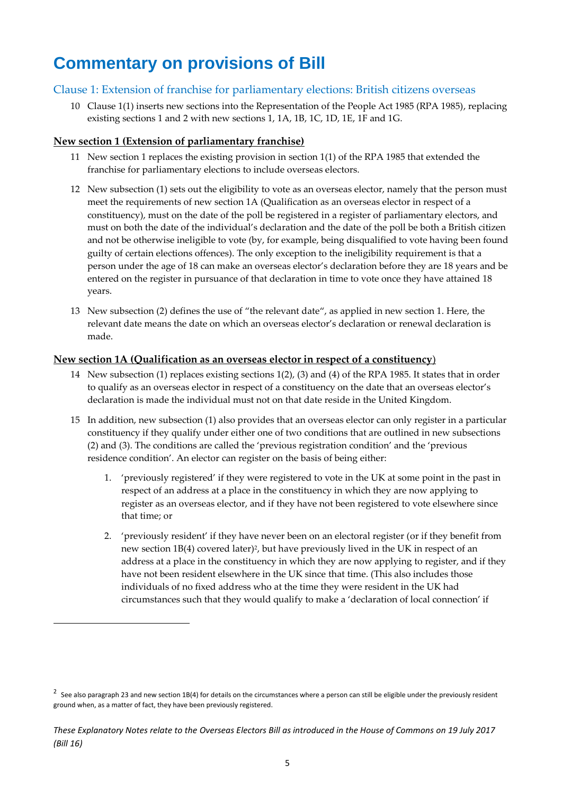## <span id="page-5-0"></span>**Commentary on provisions of Bill**

#### <span id="page-5-1"></span>Clause 1: Extension of franchise for parliamentary elections: British citizens overseas

10 Clause 1(1) inserts new sections into the Representation of the People Act 1985 (RPA 1985), replacing existing sections 1 and 2 with new sections 1, 1A, 1B, 1C, 1D, 1E, 1F and 1G.

#### <span id="page-5-2"></span>**New section 1 (Extension of parliamentary franchise)**

**.** 

- 11 New section 1 replaces the existing provision in section 1(1) of the RPA 1985 that extended the franchise for parliamentary elections to include overseas electors.
- 12 New subsection (1) sets out the eligibility to vote as an overseas elector, namely that the person must meet the requirements of new section 1A (Qualification as an overseas elector in respect of a constituency), must on the date of the poll be registered in a register of parliamentary electors, and must on both the date of the individual's declaration and the date of the poll be both a British citizen and not be otherwise ineligible to vote (by, for example, being disqualified to vote having been found guilty of certain elections offences). The only exception to the ineligibility requirement is that a person under the age of 18 can make an overseas elector's declaration before they are 18 years and be entered on the register in pursuance of that declaration in time to vote once they have attained 18 years.
- 13 New subsection (2) defines the use of "the relevant date", as applied in new section 1. Here, the relevant date means the date on which an overseas elector's declaration or renewal declaration is made.

#### <span id="page-5-3"></span>**New section 1A (Qualification as an overseas elector in respect of a constituency**)

- 14 New subsection (1) replaces existing sections 1(2), (3) and (4) of the RPA 1985. It states that in order to qualify as an overseas elector in respect of a constituency on the date that an overseas elector's declaration is made the individual must not on that date reside in the United Kingdom.
- 15 In addition, new subsection (1) also provides that an overseas elector can only register in a particular constituency if they qualify under either one of two conditions that are outlined in new subsections (2) and (3). The conditions are called the 'previous registration condition' and the 'previous residence condition'. An elector can register on the basis of being either:
	- 1. 'previously registered' if they were registered to vote in the UK at some point in the past in respect of an address at a place in the constituency in which they are now applying to register as an overseas elector, and if they have not been registered to vote elsewhere since that time; or
	- 2. 'previously resident' if they have never been on an electoral register (or if they benefit from new section 1B(4) covered later)<sup>2</sup>, but have previously lived in the UK in respect of an address at a place in the constituency in which they are now applying to register, and if they have not been resident elsewhere in the UK since that time. (This also includes those individuals of no fixed address who at the time they were resident in the UK had circumstances such that they would qualify to make a 'declaration of local connection' if

<sup>&</sup>lt;sup>2</sup> See also paragraph 23 and new section 1B(4) for details on the circumstances where a person can still be eligible under the previously resident ground when, as a matter of fact, they have been previously registered.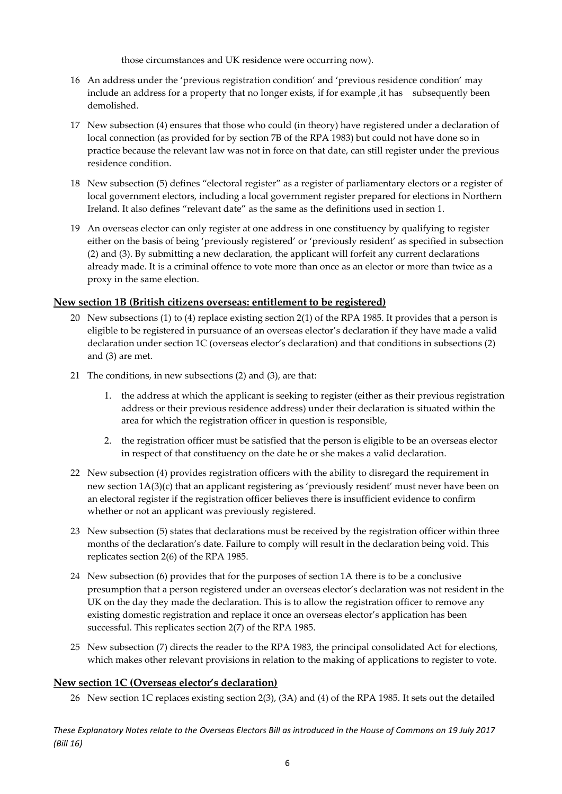those circumstances and UK residence were occurring now).

- 16 An address under the 'previous registration condition' and 'previous residence condition' may include an address for a property that no longer exists, if for example, it has subsequently been demolished.
- 17 New subsection (4) ensures that those who could (in theory) have registered under a declaration of local connection (as provided for by section 7B of the RPA 1983) but could not have done so in practice because the relevant law was not in force on that date, can still register under the previous residence condition.
- 18 New subsection (5) defines "electoral register" as a register of parliamentary electors or a register of local government electors, including a local government register prepared for elections in Northern Ireland. It also defines "relevant date" as the same as the definitions used in section 1.
- 19 An overseas elector can only register at one address in one constituency by qualifying to register either on the basis of being 'previously registered' or 'previously resident' as specified in subsection (2) and (3). By submitting a new declaration, the applicant will forfeit any current declarations already made. It is a criminal offence to vote more than once as an elector or more than twice as a proxy in the same election.

#### <span id="page-6-0"></span>**New section 1B (British citizens overseas: entitlement to be registered)**

- 20 New subsections (1) to (4) replace existing section 2(1) of the RPA 1985. It provides that a person is eligible to be registered in pursuance of an overseas elector's declaration if they have made a valid declaration under section 1C (overseas elector's declaration) and that conditions in subsections (2) and (3) are met.
- 21 The conditions, in new subsections (2) and (3), are that:
	- 1. the address at which the applicant is seeking to register (either as their previous registration address or their previous residence address) under their declaration is situated within the area for which the registration officer in question is responsible,
	- 2. the registration officer must be satisfied that the person is eligible to be an overseas elector in respect of that constituency on the date he or she makes a valid declaration.
- 22 New subsection (4) provides registration officers with the ability to disregard the requirement in new section 1A(3)(c) that an applicant registering as 'previously resident' must never have been on an electoral register if the registration officer believes there is insufficient evidence to confirm whether or not an applicant was previously registered.
- 23 New subsection (5) states that declarations must be received by the registration officer within three months of the declaration's date. Failure to comply will result in the declaration being void. This replicates section 2(6) of the RPA 1985.
- 24 New subsection (6) provides that for the purposes of section 1A there is to be a conclusive presumption that a person registered under an overseas elector's declaration was not resident in the UK on the day they made the declaration. This is to allow the registration officer to remove any existing domestic registration and replace it once an overseas elector's application has been successful. This replicates section 2(7) of the RPA 1985.
- 25 New subsection (7) directs the reader to the RPA 1983, the principal consolidated Act for elections, which makes other relevant provisions in relation to the making of applications to register to vote.

#### <span id="page-6-1"></span>**New section 1C (Overseas elector's declaration)**

26 New section 1C replaces existing section 2(3), (3A) and (4) of the RPA 1985. It sets out the detailed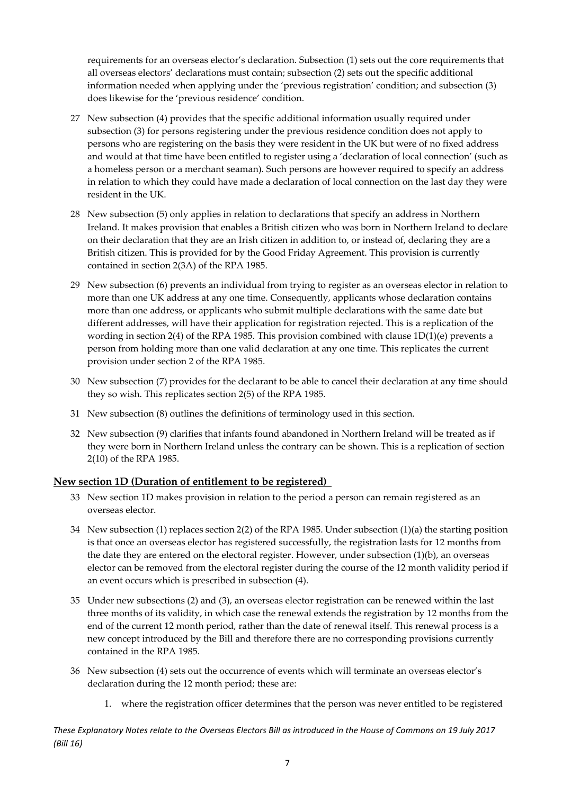requirements for an overseas elector's declaration. Subsection (1) sets out the core requirements that all overseas electors' declarations must contain; subsection (2) sets out the specific additional information needed when applying under the 'previous registration' condition; and subsection (3) does likewise for the 'previous residence' condition.

- 27 New subsection (4) provides that the specific additional information usually required under subsection (3) for persons registering under the previous residence condition does not apply to persons who are registering on the basis they were resident in the UK but were of no fixed address and would at that time have been entitled to register using a 'declaration of local connection' (such as a homeless person or a merchant seaman). Such persons are however required to specify an address in relation to which they could have made a declaration of local connection on the last day they were resident in the UK.
- 28 New subsection (5) only applies in relation to declarations that specify an address in Northern Ireland. It makes provision that enables a British citizen who was born in Northern Ireland to declare on their declaration that they are an Irish citizen in addition to, or instead of, declaring they are a British citizen. This is provided for by the Good Friday Agreement. This provision is currently contained in section 2(3A) of the RPA 1985.
- 29 New subsection (6) prevents an individual from trying to register as an overseas elector in relation to more than one UK address at any one time. Consequently, applicants whose declaration contains more than one address, or applicants who submit multiple declarations with the same date but different addresses, will have their application for registration rejected. This is a replication of the wording in section 2(4) of the RPA 1985. This provision combined with clause 1D(1)(e) prevents a person from holding more than one valid declaration at any one time. This replicates the current provision under section 2 of the RPA 1985.
- 30 New subsection (7) provides for the declarant to be able to cancel their declaration at any time should they so wish. This replicates section 2(5) of the RPA 1985.
- 31 New subsection (8) outlines the definitions of terminology used in this section.
- 32 New subsection (9) clarifies that infants found abandoned in Northern Ireland will be treated as if they were born in Northern Ireland unless the contrary can be shown. This is a replication of section 2(10) of the RPA 1985.

#### <span id="page-7-0"></span>**New section 1D (Duration of entitlement to be registered)**

- 33 New section 1D makes provision in relation to the period a person can remain registered as an overseas elector.
- 34 New subsection (1) replaces section 2(2) of the RPA 1985. Under subsection (1)(a) the starting position is that once an overseas elector has registered successfully, the registration lasts for 12 months from the date they are entered on the electoral register. However, under subsection (1)(b), an overseas elector can be removed from the electoral register during the course of the 12 month validity period if an event occurs which is prescribed in subsection (4).
- 35 Under new subsections (2) and (3), an overseas elector registration can be renewed within the last three months of its validity, in which case the renewal extends the registration by 12 months from the end of the current 12 month period, rather than the date of renewal itself. This renewal process is a new concept introduced by the Bill and therefore there are no corresponding provisions currently contained in the RPA 1985.
- 36 New subsection (4) sets out the occurrence of events which will terminate an overseas elector's declaration during the 12 month period; these are:
	- 1. where the registration officer determines that the person was never entitled to be registered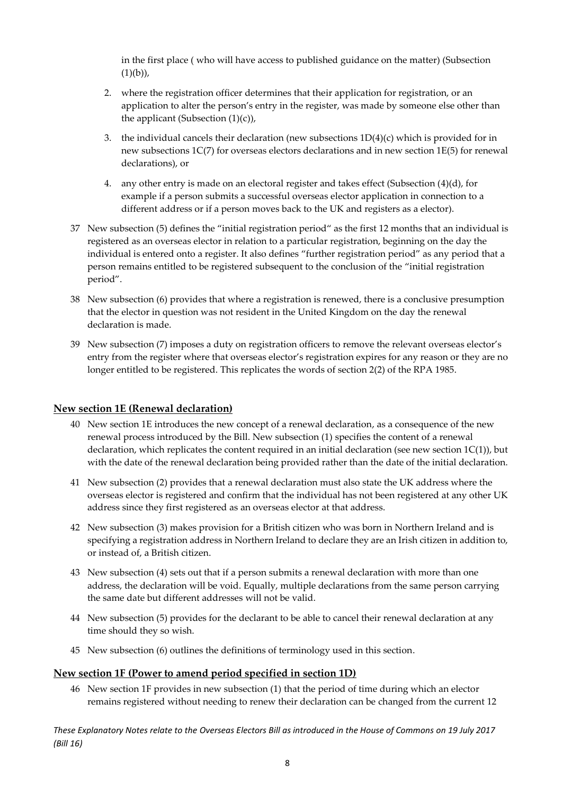in the first place ( who will have access to published guidance on the matter) (Subsection  $(1)(b)$ ,

- 2. where the registration officer determines that their application for registration, or an application to alter the person's entry in the register, was made by someone else other than the applicant (Subsection  $(1)(c)$ ),
- 3. the individual cancels their declaration (new subsections 1D(4)(c) which is provided for in new subsections 1C(7) for overseas electors declarations and in new section 1E(5) for renewal declarations), or
- 4. any other entry is made on an electoral register and takes effect (Subsection (4)(d), for example if a person submits a successful overseas elector application in connection to a different address or if a person moves back to the UK and registers as a elector).
- 37 New subsection (5) defines the "initial registration period" as the first 12 months that an individual is registered as an overseas elector in relation to a particular registration, beginning on the day the individual is entered onto a register. It also defines "further registration period" as any period that a person remains entitled to be registered subsequent to the conclusion of the "initial registration period".
- 38 New subsection (6) provides that where a registration is renewed, there is a conclusive presumption that the elector in question was not resident in the United Kingdom on the day the renewal declaration is made.
- 39 New subsection (7) imposes a duty on registration officers to remove the relevant overseas elector's entry from the register where that overseas elector's registration expires for any reason or they are no longer entitled to be registered. This replicates the words of section 2(2) of the RPA 1985.

#### <span id="page-8-0"></span>**New section 1E (Renewal declaration)**

- 40 New section 1E introduces the new concept of a renewal declaration, as a consequence of the new renewal process introduced by the Bill. New subsection (1) specifies the content of a renewal declaration, which replicates the content required in an initial declaration (see new section 1C(1)), but with the date of the renewal declaration being provided rather than the date of the initial declaration.
- 41 New subsection (2) provides that a renewal declaration must also state the UK address where the overseas elector is registered and confirm that the individual has not been registered at any other UK address since they first registered as an overseas elector at that address.
- 42 New subsection (3) makes provision for a British citizen who was born in Northern Ireland and is specifying a registration address in Northern Ireland to declare they are an Irish citizen in addition to, or instead of, a British citizen.
- 43 New subsection (4) sets out that if a person submits a renewal declaration with more than one address, the declaration will be void. Equally, multiple declarations from the same person carrying the same date but different addresses will not be valid.
- 44 New subsection (5) provides for the declarant to be able to cancel their renewal declaration at any time should they so wish.
- 45 New subsection (6) outlines the definitions of terminology used in this section.

#### <span id="page-8-1"></span>**New section 1F (Power to amend period specified in section 1D)**

46 New section 1F provides in new subsection (1) that the period of time during which an elector remains registered without needing to renew their declaration can be changed from the current 12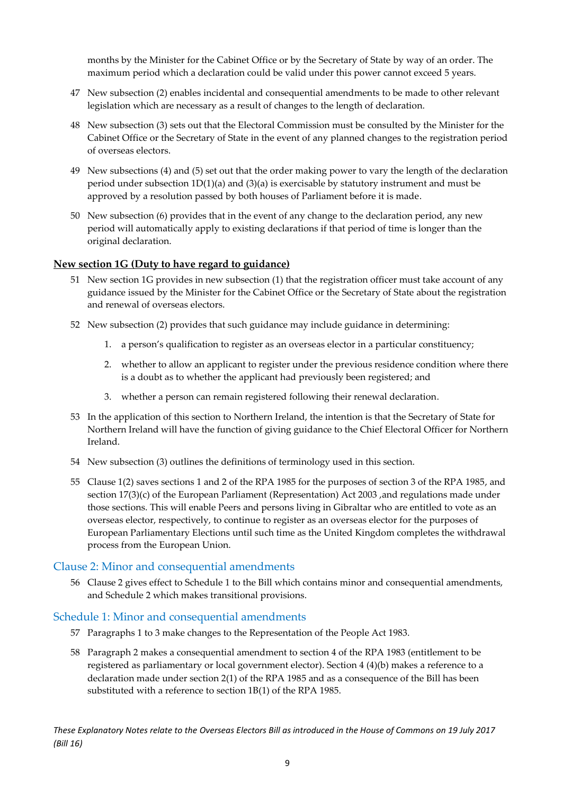months by the Minister for the Cabinet Office or by the Secretary of State by way of an order. The maximum period which a declaration could be valid under this power cannot exceed 5 years.

- 47 New subsection (2) enables incidental and consequential amendments to be made to other relevant legislation which are necessary as a result of changes to the length of declaration.
- 48 New subsection (3) sets out that the Electoral Commission must be consulted by the Minister for the Cabinet Office or the Secretary of State in the event of any planned changes to the registration period of overseas electors.
- 49 New subsections (4) and (5) set out that the order making power to vary the length of the declaration period under subsection 1D(1)(a) and (3)(a) is exercisable by statutory instrument and must be approved by a resolution passed by both houses of Parliament before it is made.
- 50 New subsection (6) provides that in the event of any change to the declaration period, any new period will automatically apply to existing declarations if that period of time is longer than the original declaration.

#### <span id="page-9-0"></span>**New section 1G (Duty to have regard to guidance)**

- 51 New section 1G provides in new subsection (1) that the registration officer must take account of any guidance issued by the Minister for the Cabinet Office or the Secretary of State about the registration and renewal of overseas electors.
- 52 New subsection (2) provides that such guidance may include guidance in determining:
	- 1. a person's qualification to register as an overseas elector in a particular constituency;
	- 2. whether to allow an applicant to register under the previous residence condition where there is a doubt as to whether the applicant had previously been registered; and
	- 3. whether a person can remain registered following their renewal declaration.
- 53 In the application of this section to Northern Ireland, the intention is that the Secretary of State for Northern Ireland will have the function of giving guidance to the Chief Electoral Officer for Northern Ireland.
- 54 New subsection (3) outlines the definitions of terminology used in this section.
- 55 Clause 1(2) saves sections 1 and 2 of the RPA 1985 for the purposes of section 3 of the RPA 1985, and section 17(3)(c) of the European Parliament (Representation) Act 2003 ,and regulations made under those sections. This will enable Peers and persons living in Gibraltar who are entitled to vote as an overseas elector, respectively, to continue to register as an overseas elector for the purposes of European Parliamentary Elections until such time as the United Kingdom completes the withdrawal process from the European Union.

#### <span id="page-9-1"></span>Clause 2: Minor and consequential amendments

56 Clause 2 gives effect to Schedule 1 to the Bill which contains minor and consequential amendments, and Schedule 2 which makes transitional provisions.

#### <span id="page-9-2"></span>Schedule 1: Minor and consequential amendments

- 57 Paragraphs 1 to 3 make changes to the Representation of the People Act 1983.
- 58 Paragraph 2 makes a consequential amendment to section 4 of the RPA 1983 (entitlement to be registered as parliamentary or local government elector). Section 4 (4)(b) makes a reference to a declaration made under section 2(1) of the RPA 1985 and as a consequence of the Bill has been substituted with a reference to section 1B(1) of the RPA 1985.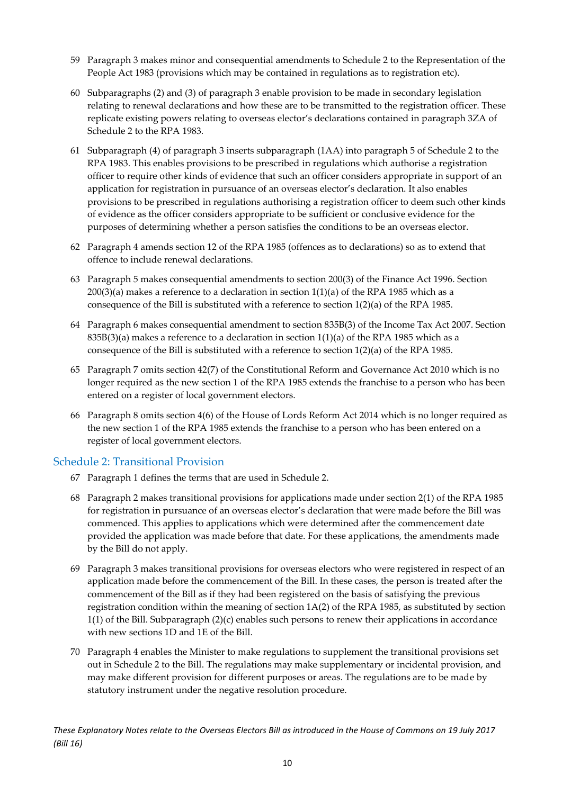- 59 Paragraph 3 makes minor and consequential amendments to Schedule 2 to the Representation of the People Act 1983 (provisions which may be contained in regulations as to registration etc).
- 60 Subparagraphs (2) and (3) of paragraph 3 enable provision to be made in secondary legislation relating to renewal declarations and how these are to be transmitted to the registration officer. These replicate existing powers relating to overseas elector's declarations contained in paragraph 3ZA of Schedule 2 to the RPA 1983.
- 61 Subparagraph (4) of paragraph 3 inserts subparagraph (1AA) into paragraph 5 of Schedule 2 to the RPA 1983. This enables provisions to be prescribed in regulations which authorise a registration officer to require other kinds of evidence that such an officer considers appropriate in support of an application for registration in pursuance of an overseas elector's declaration. It also enables provisions to be prescribed in regulations authorising a registration officer to deem such other kinds of evidence as the officer considers appropriate to be sufficient or conclusive evidence for the purposes of determining whether a person satisfies the conditions to be an overseas elector.
- 62 Paragraph 4 amends section 12 of the RPA 1985 (offences as to declarations) so as to extend that offence to include renewal declarations.
- 63 Paragraph 5 makes consequential amendments to section 200(3) of the Finance Act 1996. Section  $200(3)(a)$  makes a reference to a declaration in section  $1(1)(a)$  of the RPA 1985 which as a consequence of the Bill is substituted with a reference to section 1(2)(a) of the RPA 1985.
- 64 Paragraph 6 makes consequential amendment to section 835B(3) of the Income Tax Act 2007. Section  $835B(3)(a)$  makes a reference to a declaration in section  $1(1)(a)$  of the RPA 1985 which as a consequence of the Bill is substituted with a reference to section  $1(2)(a)$  of the RPA 1985.
- 65 Paragraph 7 omits section 42(7) of the Constitutional Reform and Governance Act 2010 which is no longer required as the new section 1 of the RPA 1985 extends the franchise to a person who has been entered on a register of local government electors.
- 66 Paragraph 8 omits section 4(6) of the House of Lords Reform Act 2014 which is no longer required as the new section 1 of the RPA 1985 extends the franchise to a person who has been entered on a register of local government electors.

#### <span id="page-10-0"></span>Schedule 2: Transitional Provision

- 67 Paragraph 1 defines the terms that are used in Schedule 2.
- 68 Paragraph 2 makes transitional provisions for applications made under section 2(1) of the RPA 1985 for registration in pursuance of an overseas elector's declaration that were made before the Bill was commenced. This applies to applications which were determined after the commencement date provided the application was made before that date. For these applications, the amendments made by the Bill do not apply.
- 69 Paragraph 3 makes transitional provisions for overseas electors who were registered in respect of an application made before the commencement of the Bill. In these cases, the person is treated after the commencement of the Bill as if they had been registered on the basis of satisfying the previous registration condition within the meaning of section 1A(2) of the RPA 1985, as substituted by section 1(1) of the Bill. Subparagraph (2)(c) enables such persons to renew their applications in accordance with new sections 1D and 1E of the Bill.
- 70 Paragraph 4 enables the Minister to make regulations to supplement the transitional provisions set out in Schedule 2 to the Bill. The regulations may make supplementary or incidental provision, and may make different provision for different purposes or areas. The regulations are to be made by statutory instrument under the negative resolution procedure.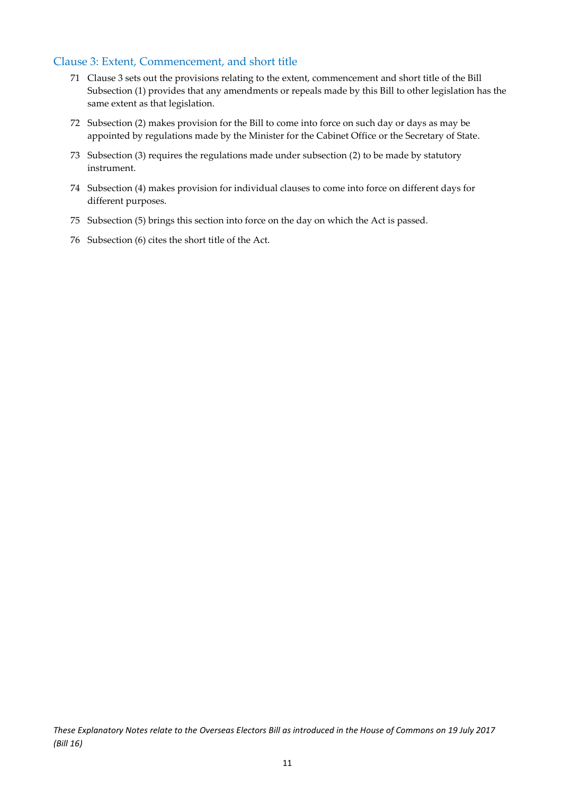#### <span id="page-11-0"></span>Clause 3: Extent, Commencement, and short title

- 71 Clause 3 sets out the provisions relating to the extent, commencement and short title of the Bill Subsection (1) provides that any amendments or repeals made by this Bill to other legislation has the same extent as that legislation.
- 72 Subsection (2) makes provision for the Bill to come into force on such day or days as may be appointed by regulations made by the Minister for the Cabinet Office or the Secretary of State.
- 73 Subsection (3) requires the regulations made under subsection (2) to be made by statutory instrument.
- 74 Subsection (4) makes provision for individual clauses to come into force on different days for different purposes.
- 75 Subsection (5) brings this section into force on the day on which the Act is passed.
- 76 Subsection (6) cites the short title of the Act.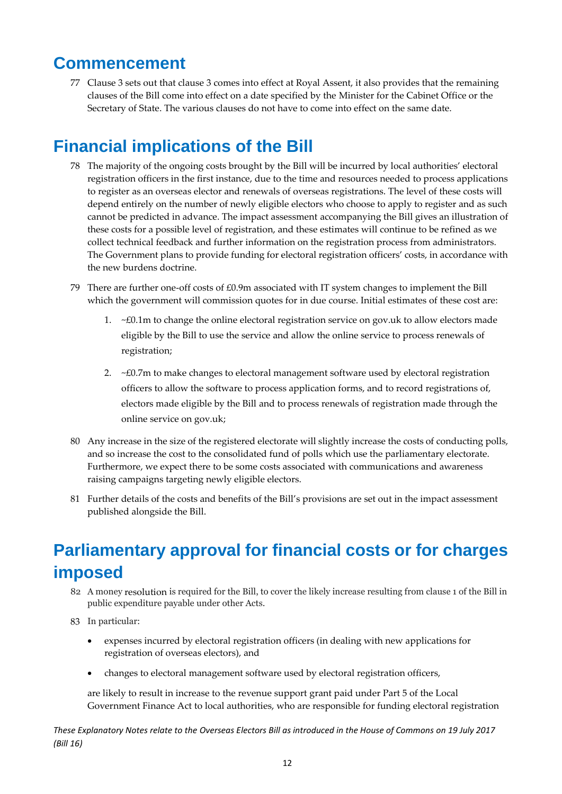### <span id="page-12-0"></span>**Commencement**

77 Clause 3 sets out that clause 3 comes into effect at Royal Assent, it also provides that the remaining clauses of the Bill come into effect on a date specified by the Minister for the Cabinet Office or the Secretary of State. The various clauses do not have to come into effect on the same date.

### <span id="page-12-1"></span>**Financial implications of the Bill**

- 78 The majority of the ongoing costs brought by the Bill will be incurred by local authorities' electoral registration officers in the first instance, due to the time and resources needed to process applications to register as an overseas elector and renewals of overseas registrations. The level of these costs will depend entirely on the number of newly eligible electors who choose to apply to register and as such cannot be predicted in advance. The impact assessment accompanying the Bill gives an illustration of these costs for a possible level of registration, and these estimates will continue to be refined as we collect technical feedback and further information on the registration process from administrators. The Government plans to provide funding for electoral registration officers' costs, in accordance with the new burdens doctrine.
- 79 There are further one-off costs of £0.9m associated with IT system changes to implement the Bill which the government will commission quotes for in due course. Initial estimates of these cost are:
	- 1.  $\sim$  £0.1m to change the online electoral registration service on gov. uk to allow electors made eligible by the Bill to use the service and allow the online service to process renewals of registration;
	- 2.  $~\leq$   $E$ 0.7m to make changes to electoral management software used by electoral registration officers to allow the software to process application forms, and to record registrations of, electors made eligible by the Bill and to process renewals of registration made through the online service on gov.uk;
- 80 Any increase in the size of the registered electorate will slightly increase the costs of conducting polls, and so increase the cost to the consolidated fund of polls which use the parliamentary electorate. Furthermore, we expect there to be some costs associated with communications and awareness raising campaigns targeting newly eligible electors.
- 81 Further details of the costs and benefits of the Bill's provisions are set out in the impact assessment published alongside the Bill.

# <span id="page-12-2"></span>**Parliamentary approval for financial costs or for charges imposed**

- 82 A money resolution is required for the Bill, to cover the likely increase resulting from clause 1 of the Bill in public expenditure payable under other Acts.
- 83 In particular:
	- expenses incurred by electoral registration officers (in dealing with new applications for registration of overseas electors), and
	- changes to electoral management software used by electoral registration officers,

are likely to result in increase to the revenue support grant paid under Part 5 of the Local Government Finance Act to local authorities, who are responsible for funding electoral registration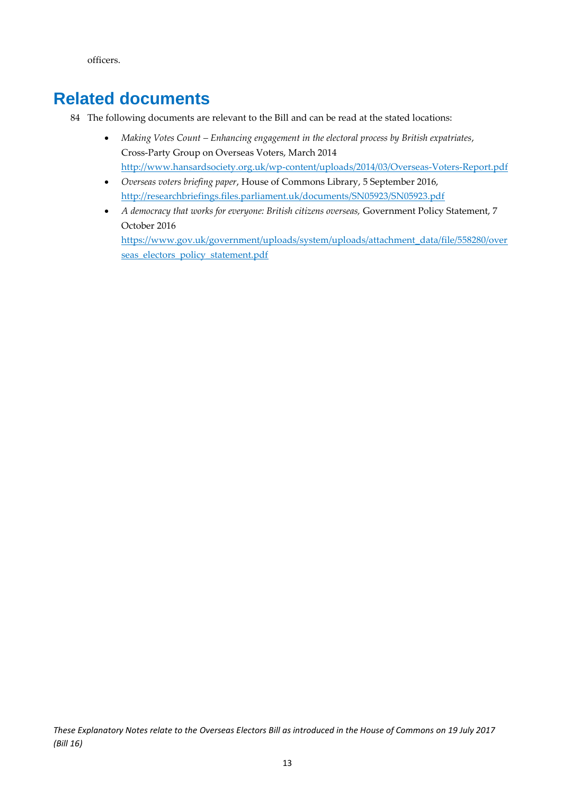officers.

### <span id="page-13-0"></span>**Related documents**

- 84 The following documents are relevant to the Bill and can be read at the stated locations:
	- *Making Votes Count – Enhancing engagement in the electoral process by British expatriates*, Cross-Party Group on Overseas Voters, March 2014 <http://www.hansardsociety.org.uk/wp-content/uploads/2014/03/Overseas-Voters-Report.pdf>
	- *Overseas voters briefing paper*, House of Commons Library, 5 September 2016, <http://researchbriefings.files.parliament.uk/documents/SN05923/SN05923.pdf>
	- *A democracy that works for everyone: British citizens overseas,* Government Policy Statement, 7 October 2016 https://www.gov.uk/government/uploads/system/uploads/attachment\_data/file/558280/over

seas\_electors\_policy\_statement.pdf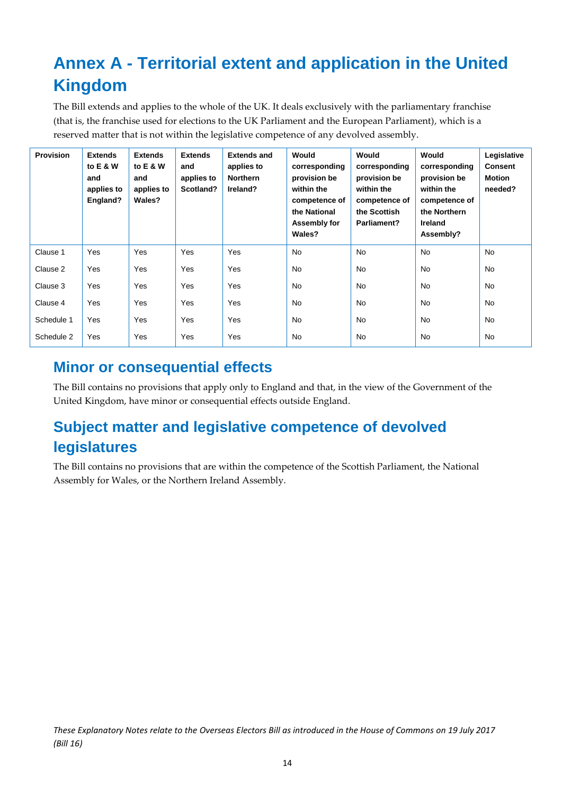# <span id="page-14-0"></span>**Annex A - Territorial extent and application in the United Kingdom**

The Bill extends and applies to the whole of the UK. It deals exclusively with the parliamentary franchise (that is, the franchise used for elections to the UK Parliament and the European Parliament), which is a reserved matter that is not within the legislative competence of any devolved assembly.

| <b>Provision</b> | <b>Extends</b><br>to E & W<br>and<br>applies to<br>England? | <b>Extends</b><br>to E & W<br>and<br>applies to<br>Wales? | <b>Extends</b><br>and<br>applies to<br>Scotland? | <b>Extends and</b><br>applies to<br><b>Northern</b><br>Ireland? | Would<br>corresponding<br>provision be<br>within the<br>competence of<br>the National<br>Assembly for<br>Wales? | Would<br>corresponding<br>provision be<br>within the<br>competence of<br>the Scottish<br>Parliament? | Would<br>corresponding<br>provision be<br>within the<br>competence of<br>the Northern<br><b>Ireland</b><br>Assembly? | Legislative<br><b>Consent</b><br><b>Motion</b><br>needed? |
|------------------|-------------------------------------------------------------|-----------------------------------------------------------|--------------------------------------------------|-----------------------------------------------------------------|-----------------------------------------------------------------------------------------------------------------|------------------------------------------------------------------------------------------------------|----------------------------------------------------------------------------------------------------------------------|-----------------------------------------------------------|
| Clause 1         | Yes                                                         | Yes                                                       | Yes                                              | Yes                                                             | <b>No</b>                                                                                                       | <b>No</b>                                                                                            | <b>No</b>                                                                                                            | <b>No</b>                                                 |
| Clause 2         | Yes                                                         | Yes                                                       | Yes                                              | Yes                                                             | No                                                                                                              | <b>No</b>                                                                                            | <b>No</b>                                                                                                            | <b>No</b>                                                 |
| Clause 3         | Yes                                                         | Yes                                                       | Yes                                              | Yes                                                             | No                                                                                                              | No                                                                                                   | No                                                                                                                   | <b>No</b>                                                 |
| Clause 4         | Yes                                                         | Yes                                                       | Yes                                              | Yes                                                             | <b>No</b>                                                                                                       | <b>No</b>                                                                                            | <b>No</b>                                                                                                            | <b>No</b>                                                 |
| Schedule 1       | Yes                                                         | Yes                                                       | Yes                                              | Yes                                                             | <b>No</b>                                                                                                       | <b>No</b>                                                                                            | <b>No</b>                                                                                                            | <b>No</b>                                                 |
| Schedule 2       | Yes                                                         | Yes                                                       | Yes                                              | Yes                                                             | No                                                                                                              | No                                                                                                   | No                                                                                                                   | No                                                        |

### <span id="page-14-1"></span>**Minor or consequential effects**

The Bill contains no provisions that apply only to England and that, in the view of the Government of the United Kingdom, have minor or consequential effects outside England.

## <span id="page-14-2"></span>**Subject matter and legislative competence of devolved legislatures**

The Bill contains no provisions that are within the competence of the Scottish Parliament, the National Assembly for Wales, or the Northern Ireland Assembly.